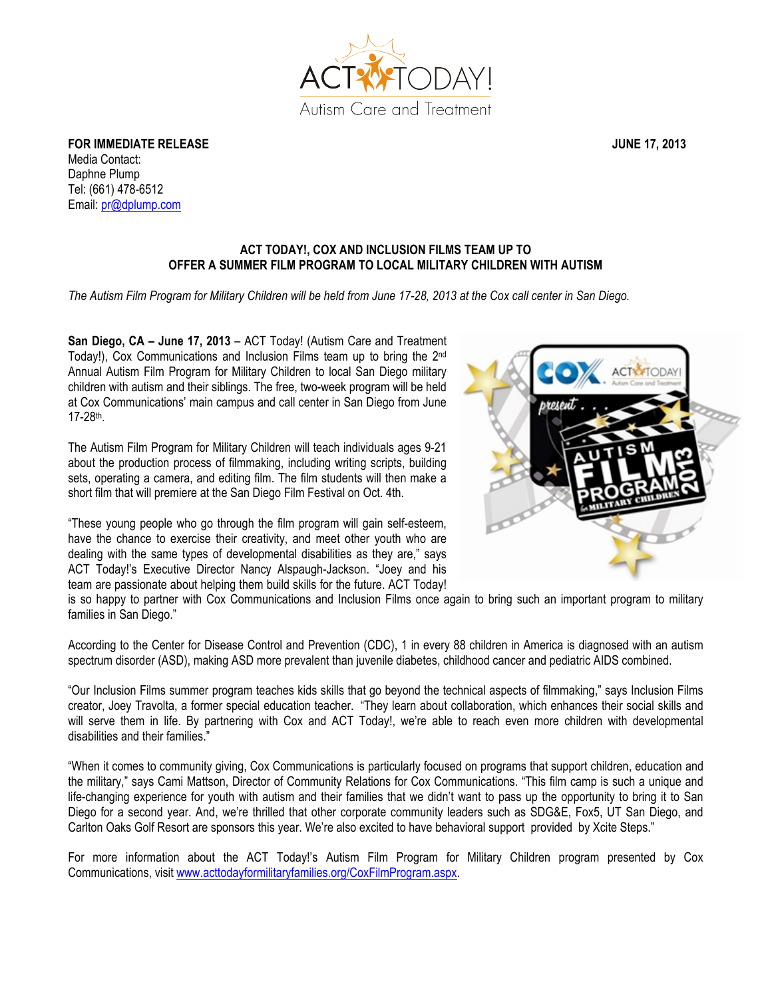

**FOR IMMEDIATE RELEASE STATE ASSESSED ASSESSED ASSOCIATE JUNE 17, 2013** Media Contact: Daphne Plump Tel: (661) 478-6512 Email: pr@dplump.com

## **ACT TODAY!, COX AND INCLUSION FILMS TEAM UP TO OFFER A SUMMER FILM PROGRAM TO LOCAL MILITARY CHILDREN WITH AUTISM**

*The Autism Film Program for Military Children will be held from June 17-28, 2013 at the Cox call center in San Diego.*

**San Diego, CA – June 17, 2013** – ACT Today! (Autism Care and Treatment Today!), Cox Communications and Inclusion Films team up to bring the 2nd Annual Autism Film Program for Military Children to local San Diego military children with autism and their siblings. The free, two-week program will be held at Cox Communications' main campus and call center in San Diego from June 17-28th.

The Autism Film Program for Military Children will teach individuals ages 9-21 about the production process of filmmaking, including writing scripts, building sets, operating a camera, and editing film. The film students will then make a short film that will premiere at the San Diego Film Festival on Oct. 4th.

"These young people who go through the film program will gain self-esteem, have the chance to exercise their creativity, and meet other youth who are dealing with the same types of developmental disabilities as they are," says ACT Today!'s Executive Director Nancy Alspaugh-Jackson. "Joey and his team are passionate about helping them build skills for the future. ACT Today!



is so happy to partner with Cox Communications and Inclusion Films once again to bring such an important program to military families in San Diego."

According to the Center for Disease Control and Prevention (CDC), 1 in every 88 children in America is diagnosed with an autism spectrum disorder (ASD), making ASD more prevalent than juvenile diabetes, childhood cancer and pediatric AIDS combined.

"Our Inclusion Films summer program teaches kids skills that go beyond the technical aspects of filmmaking," says Inclusion Films creator, Joey Travolta, a former special education teacher. "They learn about collaboration, which enhances their social skills and will serve them in life. By partnering with Cox and ACT Today!, we're able to reach even more children with developmental disabilities and their families."

"When it comes to community giving, Cox Communications is particularly focused on programs that support children, education and the military," says Cami Mattson, Director of Community Relations for Cox Communications. "This film camp is such a unique and life-changing experience for youth with autism and their families that we didn't want to pass up the opportunity to bring it to San Diego for a second year. And, we're thrilled that other corporate community leaders such as SDG&E, Fox5, UT San Diego, and Carlton Oaks Golf Resort are sponsors this year. We're also excited to have behavioral support provided by Xcite Steps."

For more information about the ACT Today!'s Autism Film Program for Military Children program presented by Cox Communications, visit www.acttodayformilitaryfamilies.org/CoxFilmProgram.aspx.